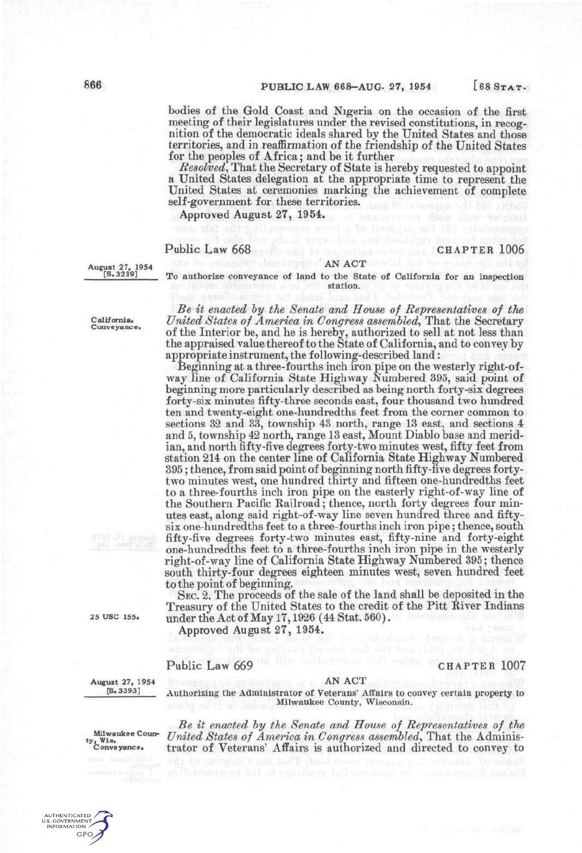bodies of the Gold Coast and Nigeria on the occasion of the first meeting of their legislatures under the revised constitutions, in recognition of the democratic ideals shared by the United States and those territories, and in reaffirmation of the friendship of the United States for the peoples of Africa; and be it further

*Resolved^* That the Secretary of State is hereby requested to appoint a United States delegation at the appropriate time to represent the United States at ceremonies marking the achievement of complete self-government for these territories.

Approved August 27, 1954.

## Public Law 668 CHAPTER 1006

August 27, 1954<br>
[S.3239] *PRO authorize conveyance of land to the State of Carl State of Carl State of Carl State of Carl State of Carl State of Carl State of Carl State of Carl State of Carl State of Carl State of Carl* To authorize conveyance of land to the State of California for an inspection station.

California. Conveyance.

*Be it enacted hy the Senate and House of Representatives of the United States of America in Congress assembled^* That the Secretary of the Interior be, and he is hereby, authorized to sell at not less than the appraised value thereof to the State of California, and to convey by appropriate instrument, the following-described land:

Beginning at a three-fourths inch iron pipe on the westerly right-ofway line of California State Highway Numbered 395, said point of beginning more particularly described as being north forty-six degrees forty-six minutes fifty-three seconds east, four thousand two hundred ten and twenty-eight one-hundredths feet from the corner common to sections 32 and 33, township 43 north, range 13 east, and sections 4 and 5, township 42 north, range 13 east, Mount Diablo base and meridian, and north fifty-five degrees forty-two minutes west, fifty feet from station 214 on the center line of California State Highway Numbered 395; thence, from said point of beginning north fifty-five degrees fortytwo minutes west, one hundred thirty and fifteen one-hundredths feet to a three-fourths inch iron pipe on the easterly right-of-way line of the Southern Pacific Railroad; thence, north forty degrees four minutes east, along said right-of-way line seven hundred three and fiftysix one-hundredths feet to a three-fourths inch iron pipe; thence, south fifty-five degrees forty-two minutes east, fifty-nine and forty-eight one-hundredths feet to a three-fourths inch iron pipe in the westerly right-of-way line of California State Highway Numbered 395; thence south thirty-four degrees eighteen minutes west, seven hundred feet to the point of beginning.

25 USC 155.

SEC. 2. The proceeds of the sale of the land shall be deposited in the Treasury of the United States to the credit of the Pitt River Indians under the Act of May 17,1926 (44 Stat. 560).

Approved August 27, 1954.

## Public Law 669 CHAPTER 1007

August 27, 1954 [S.3393]

AN ACT Authorizing the Administrator of Veterans' Affairs to convey certain property to Milwaukee County, Wisconsin.

*Be it enacted by the Senate and House of Representatives of the* Milwaukee Coun- *United States of America in Congress assembled*, That the Adminis-<br>Conveyance. trator of Veterans' Affairs is authorized and directed to convey to trator of Veterans' Affairs is authorized and directed to convey to